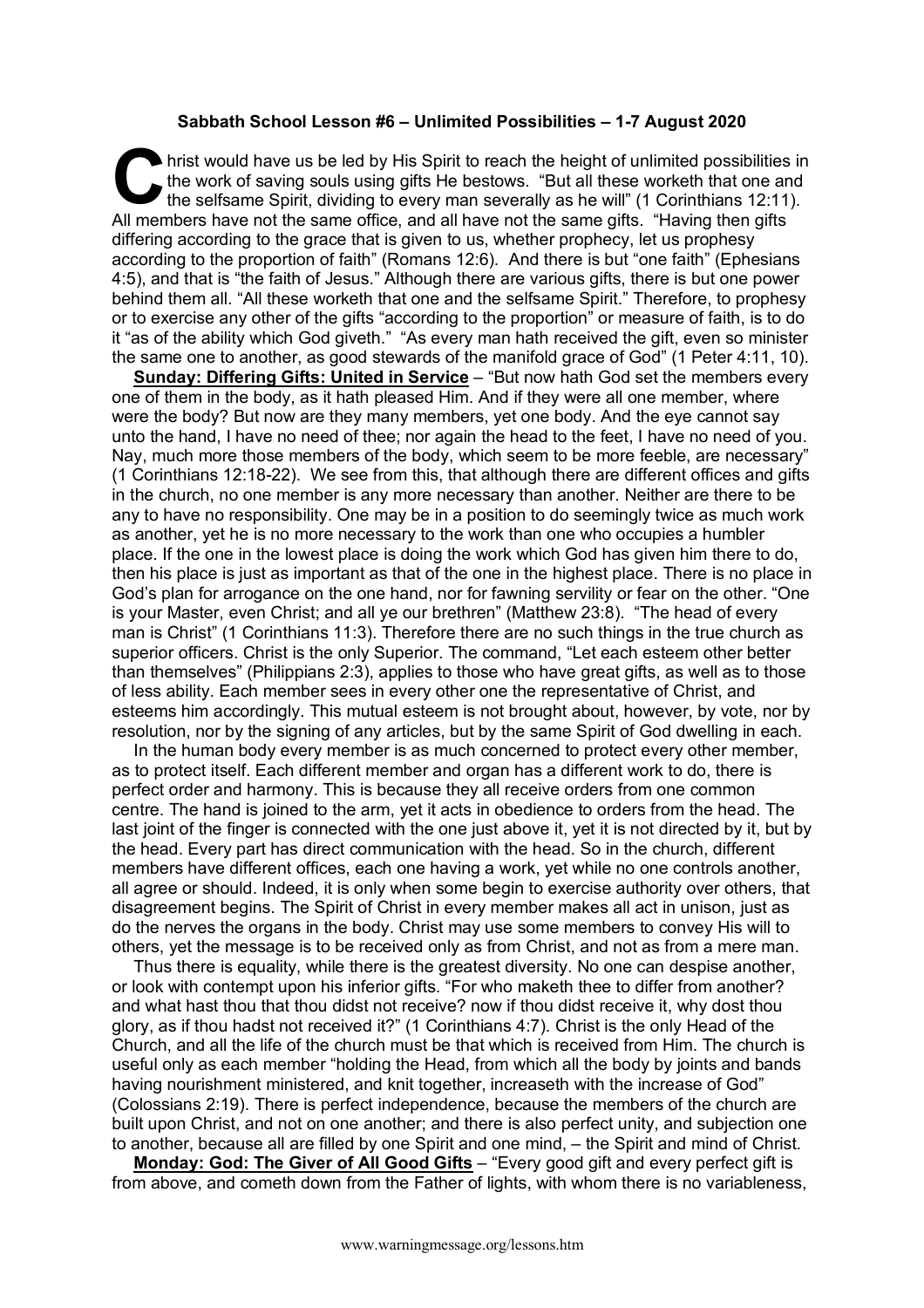## **Sabbath School Lesson #6 – Unlimited Possibilities – 1-7 August 2020**

hrist would have us be led by His Spirit to reach the height of unlimited possibilities in the work of saving souls using gifts He bestows. "But all these worketh that one and the selfsame Spirit, dividing to every man severally as he will" (1 Corinthians 12:11). All members have not the same office, and all have not the same gifts. "Having then gifts differing according to the grace that is given to us, whether prophecy, let us prophesy according to the proportion of faith" (Romans 12:6). And there is but "one faith" (Ephesians 4:5), and that is "the faith of Jesus." Although there are various gifts, there is but one power behind them all. "All these worketh that one and the selfsame Spirit." Therefore, to prophesy or to exercise any other of the gifts "according to the proportion" or measure of faith, is to do it "as of the ability which God giveth." "As every man hath received the gift, even so minister the same one to another, as good stewards of the manifold grace of God" (1 Peter 4:11, 10). C hristene

**Sunday: Differing Gifts: United in Service** – "But now hath God set the members every one of them in the body, as it hath pleased Him. And if they were all one member, where were the body? But now are they many members, yet one body. And the eye cannot say unto the hand, I have no need of thee; nor again the head to the feet, I have no need of you. Nay, much more those members of the body, which seem to be more feeble, are necessary" (1 Corinthians 12:18-22). We see from this, that although there are different offices and gifts in the church, no one member is any more necessary than another. Neither are there to be any to have no responsibility. One may be in a position to do seemingly twice as much work as another, yet he is no more necessary to the work than one who occupies a humbler place. If the one in the lowest place is doing the work which God has given him there to do, then his place is just as important as that of the one in the highest place. There is no place in God's plan for arrogance on the one hand, nor for fawning servility or fear on the other. "One is your Master, even Christ; and all ye our brethren" (Matthew 23:8). "The head of every man is Christ" (1 Corinthians 11:3). Therefore there are no such things in the true church as superior officers. Christ is the only Superior. The command, "Let each esteem other better than themselves" (Philippians 2:3), applies to those who have great gifts, as well as to those of less ability. Each member sees in every other one the representative of Christ, and esteems him accordingly. This mutual esteem is not brought about, however, by vote, nor by resolution, nor by the signing of any articles, but by the same Spirit of God dwelling in each.

In the human body every member is as much concerned to protect every other member, as to protect itself. Each different member and organ has a different work to do, there is perfect order and harmony. This is because they all receive orders from one common centre. The hand is joined to the arm, yet it acts in obedience to orders from the head. The last joint of the finger is connected with the one just above it, yet it is not directed by it, but by the head. Every part has direct communication with the head. So in the church, different members have different offices, each one having a work, yet while no one controls another, all agree or should. Indeed, it is only when some begin to exercise authority over others, that disagreement begins. The Spirit of Christ in every member makes all act in unison, just as do the nerves the organs in the body. Christ may use some members to convey His will to others, yet the message is to be received only as from Christ, and not as from a mere man.

Thus there is equality, while there is the greatest diversity. No one can despise another, or look with contempt upon his inferior gifts. "For who maketh thee to differ from another? and what hast thou that thou didst not receive? now if thou didst receive it, why dost thou glory, as if thou hadst not received it?" (1 Corinthians 4:7). Christ is the only Head of the Church, and all the life of the church must be that which is received from Him. The church is useful only as each member "holding the Head, from which all the body by joints and bands having nourishment ministered, and knit together, increaseth with the increase of God" (Colossians 2:19). There is perfect independence, because the members of the church are built upon Christ, and not on one another; and there is also perfect unity, and subjection one to another, because all are filled by one Spirit and one mind, – the Spirit and mind of Christ.

**Monday: God: The Giver of All Good Gifts** – "Every good gift and every perfect gift is from above, and cometh down from the Father of lights, with whom there is no variableness,